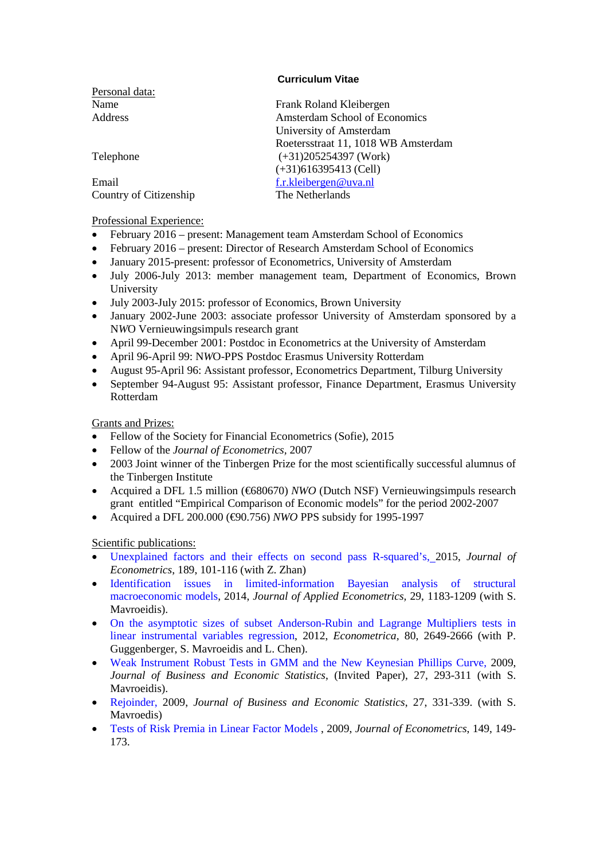# **Curriculum Vitae**

| Personal data:         |                                      |
|------------------------|--------------------------------------|
| Name                   | Frank Roland Kleibergen              |
| Address                | <b>Amsterdam School of Economics</b> |
|                        | University of Amsterdam              |
|                        | Roetersstraat 11, 1018 WB Amsterdam  |
| Telephone              | $(+31)205254397$ (Work)              |
|                        | $(+31)616395413$ (Cell)              |
| Email                  | f.r.kleibergen@uva.nl                |
| Country of Citizenship | The Netherlands                      |

# Professional Experience:

- February 2016 present: Management team Amsterdam School of Economics
- February 2016 present: Director of Research Amsterdam School of Economics
- January 2015-present: professor of Econometrics, University of Amsterdam
- July 2006-July 2013: member management team, Department of Economics, Brown University
- July 2003-July 2015: professor of Economics, Brown University
- January 2002-June 2003: associate professor University of Amsterdam sponsored by a N*W*O Vernieuwingsimpuls research grant
- April 99-December 2001: Postdoc in Econometrics at the University of Amsterdam
- April 96-April 99: N*W*O-PPS Postdoc Erasmus University Rotterdam
- August 95-April 96: Assistant professor, Econometrics Department, Tilburg University
- September 94-August 95: Assistant professor, Finance Department, Erasmus University Rotterdam

# Grants and Prizes:

- Fellow of the Society for Financial Econometrics (Sofie), 2015
- Fellow of the *Journal of Econometrics,* 2007
- 2003 Joint winner of the Tinbergen Prize for the most scientifically successful alumnus of the Tinbergen Institute
- Acquired a DFL 1.5 million (€680670) *NWO* (Dutch NSF) Vernieuwingsimpuls research grant entitled "Empirical Comparison of Economic models" for the period 2002-2007
- Acquired a DFL 200.000 (€90.756) *NWO* PPS subsidy for 1995-1997

Scientific publications:

- [Unexplained factors and their effects on second pass R-squared's,](http://www.sciencedirect.com/science/article/pii/S0304407615001876) 2015, *Journal of Econometrics*, 189, 101-116 (with Z. Zhan)
- [Identification issues in limited-information Bayesian analysis of structural](http://dx.doi.org/10.1002/jae.2398)  [macroeconomic models,](http://dx.doi.org/10.1002/jae.2398) 2014, *Journal of Applied Econometrics,* 29, 1183-1209 (with S. Mavroeidis).
- [On the asymptotic sizes of subset Anderson-Rubin and](http://dx.doi.org/10.3982/ECTA8953) Lagrange Multipliers tests in [linear instrumental variables regression,](http://dx.doi.org/10.3982/ECTA8953) 2012, *Econometrica,* 80, 2649-2666 (with P. Guggenberger, S. Mavroeidis and L. Chen).
- [Weak Instrument Robust Tests in GMM and the New Keynesian Phillips Curve,](http://www.tandfonline.com/doi/abs/10.1198/jbes.2009.08280) 2009, *Journal of Business and Economic Statistics*, (Invited Paper), 27, 293-311 (with S. Mavroeidis).
- [Rejoinder, 2](http://amstat.tandfonline.com/doi/abs/10.1198/jbes.2009.08350)009, *Journal of Business and Economic Statistics*, 27, 331-339. (with S. Mavroedis)
- [Tests of Risk Premia in Linear Factor Models ,](http://dx.doi.org/10.1016/j.jeconom.2009.01.013) 2009, *Journal of Econometrics*, 149, 149- 173.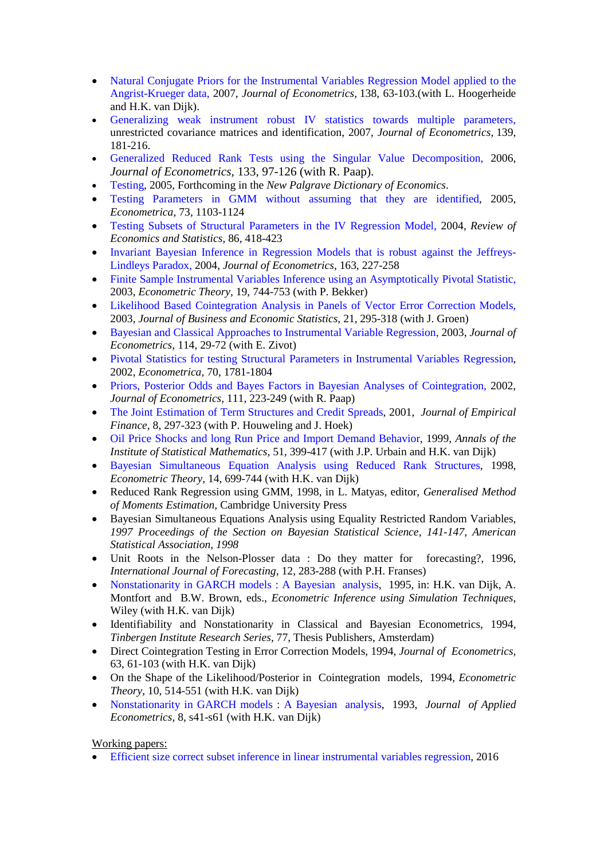- Natural Conjugate Priors for the Instrumental Variables Regression Model applied to the [Angrist-Krueger data,](http://dx.doi.org/10.1016/j.jeconom.2006.05.015) 2007, *Journal of Econometrics*, 138, 63-103.(with L. Hoogerheide and H.K. van Dijk).
- [Generalizing weak instrument robust IV statistics towards multiple parameters,](http://dx.doi.org/10.1016/j.jeconom.2006.06.010) unrestricted covariance matrices and identification, 2007, *Journal of Econometrics*, 139, 181-216.
- [Generalized Reduced Rank Tests using the Singular Value Decomposition,](http://dx.doi.org/10.1016/j.jeconom.2005.02.011) 2006, *Journal of Econometrics,* 133, 97-126 (with R. Paap).
- Testing, 2005, Forthcoming in the *New Palgrave Dictionary of Economics*.
- [Testing Parameters in GMM without assuming that they are identified,](http://onlinelibrary.wiley.com/doi/10.1111/j.1468-0262.2005.00610.x/abstract) 2005, *Econometrica,* 73, 1103-1124
- [Testing Subsets of Structural Parameters in the IV Regression Model,](http://mitpress.mit.edu/catalog/item/default.asp?ttype=5&tid=1427) 2004, *Review of Economics and Statistics*, 86, 418-423
- [Invariant Bayesian Inference in Regression Models that is robust against the Jeffreys-](http://www.sciencedirect.com/science/journal/03044076)[Lindleys Paradox,](http://www.sciencedirect.com/science/journal/03044076) 2004, *Journal of Econometrics,* 163, 227-258
- [Finite Sample Instrumental Variables Inference using an Asymptotically Pivotal Statistic,](http://dx.doi.org/10.1017/S0266466603195023) 2003, *Econometric Theory,* 19, 744-753 (with P. Bekker)
- [Likelihood Based Cointegration Analysis in Panels of Vector Error Correction Models,](http://dx.doi.org/10.1198/073500103288618972)  2003, *Journal of Business and Economic Statistics*, 21, 295-318 (with J. Groen)
- [Bayesian and Classical Approaches to Instrumental Variable Regression, 2](http://dx.doi.org/10.1016/S0304-4076(02)00219-1)003, *Journal of Econometrics*, 114, 29-72 (with E. Zivot)
- [Pivotal Statistics for testing Structural Parameters in Instrumental Variables Regression,](http://dx.doi.org/10.1111/1468-0262.00353) 2002, *Econometrica,* 70, 1781-1804
- [Priors, Posterior Odds and Bayes Factors in Bayesian Analyses of Cointegration,](http://dx.doi.org/10.1016/S0304-4076(02)00105-7) 2002, *Journal of Econometrics*, 111, 223-249 (with R. Paap)
- The Joint Estimation of Term Structures and Credit Spreads, 2001, *Journal of Empirical Finance,* 8, 297-323 (with P. Houweling and J. Hoek)
- Oil Price Shocks and long Run Price and Import Demand Behavior, 1999, *Annals of the Institute of Statistical Mathematics,* 51, 399-417 (with J.P. Urbain and H.K. van Dijk)
- Bayesian Simultaneous Equation Analysis using Reduced Rank Structures, 1998, *Econometric Theory,* 14, 699-744 (with H.K. van Dijk)
- Reduced Rank Regression using GMM, 1998, in L. Matyas, editor, *Generalised Method of Moments Estimation,* Cambridge University Press
- Bayesian Simultaneous Equations Analysis using Equality Restricted Random Variables, *1997 Proceedings of the Section on Bayesian Statistical Science, 141-147, American Statistical Association, 1998*
- Unit Roots in the Nelson-Plosser data : Do they matter for forecasting?, 1996, *International Journal of Forecasting,* 12, 283-288 (with P.H. Franses)
- Nonstationarity in GARCH models : A Bayesian analysis, 1995, in: H.K. van Dijk, A. Montfort and B.W. Brown, eds., *Econometric Inference using Simulation Techniques*, Wiley (with H.K. van Dijk)
- Identifiability and Nonstationarity in Classical and Bayesian Econometrics, 1994, *Tinbergen Institute Research Series,* 77, Thesis Publishers, Amsterdam)
- Direct Cointegration Testing in Error Correction Models, 1994, *Journal of Econometrics,* 63, 61-103 (with H.K. van Dijk)
- On the Shape of the Likelihood/Posterior in Cointegration models, 1994, *Econometric Theory,* 10, 514-551 (with H.K. van Dijk)
- Nonstationarity in GARCH models : A Bayesian analysis, 1993, *Journal of Applied Econometrics,* 8, s41-s61 (with H.K. van Dijk)

Working papers:

• [Efficient size correct subset inference in linear instrumental variables regression,](http://www.uva.nl/binaries/content/documents/personalpages/k/l/f.r.kleibergen/en/tab-two/tab-two/cpitem%5B2%5D/asset?1467229519178) 2016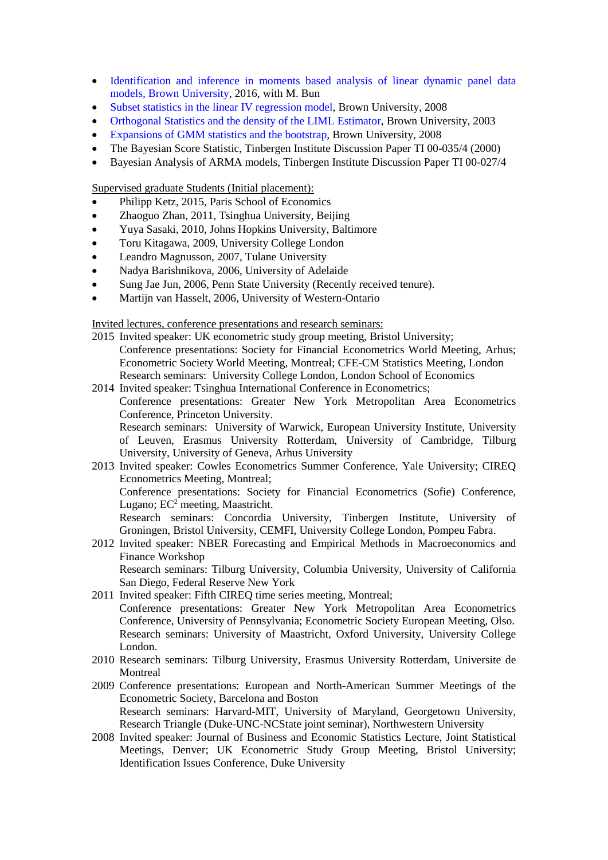- [Identification and inference in moments based analysis of linear dynamic panel data](http://www.uva.nl/binaries/content/documents/personalpages/k/l/f.r.kleibergen/en/tab-two/tab-two/cpitem%5B3%5D/asset?1467229719134)  [models, Brown University,](http://www.uva.nl/binaries/content/documents/personalpages/k/l/f.r.kleibergen/en/tab-two/tab-two/cpitem%5B3%5D/asset?1467229719134) 2016, with M. Bun
- Subset statistics in the linear IV regression model, Brown University, 2008
- Orthogonal Statistics and the density of the LIML Estimator, Brown University, 2003
- Expansions of GMM statistics and the bootstrap, Brown University, 2008
- The Bayesian Score Statistic, Tinbergen Institute Discussion Paper TI 00-035/4 (2000)
- Bayesian Analysis of ARMA models, Tinbergen Institute Discussion Paper TI 00-027/4

Supervised graduate Students (Initial placement):

- Philipp Ketz, 2015, Paris School of Economics
- Zhaoguo Zhan, 2011, Tsinghua University, Beijing
- Yuya Sasaki, 2010, Johns Hopkins University, Baltimore
- Toru Kitagawa, 2009, University College London
- Leandro Magnusson, 2007, Tulane University
- Nadya Barishnikova, 2006, University of Adelaide
- Sung Jae Jun, 2006, Penn State University (Recently received tenure).
- Martijn van Hasselt, 2006, University of Western-Ontario

Invited lectures, conference presentations and research seminars:

- 2015 Invited speaker: UK econometric study group meeting, Bristol University; Conference presentations: Society for Financial Econometrics World Meeting, Arhus; Econometric Society World Meeting, Montreal; CFE-CM Statistics Meeting, London Research seminars: University College London, London School of Economics
- 2014 Invited speaker: Tsinghua International Conference in Econometrics;

Conference presentations: Greater New York Metropolitan Area Econometrics Conference, Princeton University.

Research seminars: University of Warwick, European University Institute, University of Leuven, Erasmus University Rotterdam, University of Cambridge, Tilburg University, University of Geneva, Arhus University

- 2013 Invited speaker: Cowles Econometrics Summer Conference, Yale University; CIREQ Econometrics Meeting, Montreal; Conference presentations: Society for Financial Econometrics (Sofie) Conference, Lugano;  $EC^2$  meeting, Maastricht. Research seminars: Concordia University, Tinbergen Institute, University of Groningen, Bristol University, CEMFI, University College London, Pompeu Fabra.
- 2012 Invited speaker: NBER Forecasting and Empirical Methods in Macroeconomics and Finance Workshop Research seminars: Tilburg University, Columbia University, University of California San Diego, Federal Reserve New York
- 2011 Invited speaker: Fifth CIREQ time series meeting, Montreal; Conference presentations: Greater New York Metropolitan Area Econometrics Conference, University of Pennsylvania; Econometric Society European Meeting, Olso. Research seminars: University of Maastricht, Oxford University, University College London.
- 2010 Research seminars: Tilburg University, Erasmus University Rotterdam, Universite de Montreal
- 2009 Conference presentations: European and North-American Summer Meetings of the Econometric Society, Barcelona and Boston Research seminars: Harvard-MIT, University of Maryland, Georgetown University, Research Triangle (Duke-UNC-NCState joint seminar), Northwestern University
- 2008 Invited speaker: Journal of Business and Economic Statistics Lecture, Joint Statistical Meetings, Denver; UK Econometric Study Group Meeting, Bristol University; Identification Issues Conference, Duke University